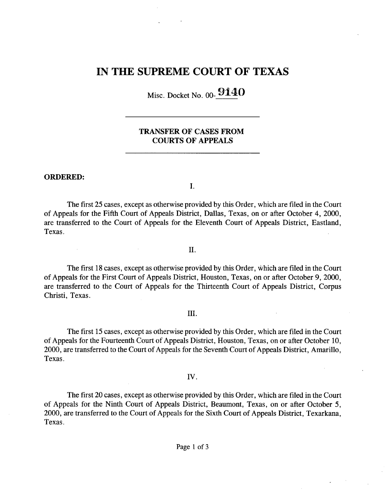# IN THE SUPREME COURT OF TEXAS

Misc. Docket No. 00- 9140

# TRANSFER OF CASES FROM COURTS OF APPEALS

### ORDERED:

1.

The first 25 cases, except as otherwise provided by this Order, which are filed in the Court of Appeals for the Fifth Court of Appeals District, Dallas, Texas, on or after October 4, 2000, are transferred to the Court of Appeals for the Eleventh Court of Appeals District, Eastland, Texas.

II.

The first 18 cases, except as otherwise provided by this Order, which are filed in the Court of Appeals for the First Court of Appeals District, Houston, Texas, on or after October 9, 2000, are transferred to the Court of Appeals for the Thirteenth Court of Appeals District, Corpus Christi, Texas.

#### Ш.

The first 15 cases, except as otherwise provided by this Order, which are filed in the Court of Appeals for the Fourteenth Court of Appeals District, Houston, Texas, on or after October 10, 2000, are transferred to the Court of Appeals for the Seventh Court of Appeals District, Amarillo, Texas.

## IV.

The first 20 cases, except as otherwise provided by this Order, which are filed in the Court of Appeals for the Ninth Court of Appeals District, Beaumont, Texas, on or after October 5, 2000, are transferred to the Court of Appeals for the Sixth Court of Appeals District, Texarkana, Texas.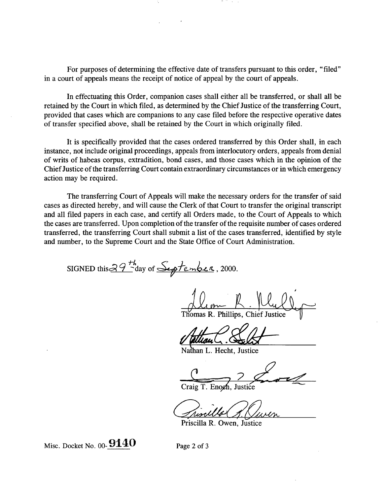**For purposes of determining the effective date of transfers pursuant to this order,** "filed" **in a court of appeals means the receipt of notice of appeal by the court of appeals.**

In effectuating this Order, companion cases shall either all be transferred, or shall all be retained by the Court in which filed, as determined by the Chief Justice of the transferring Court, provided that cases which are companions to any case filed before the respective operative dates of transfer specified above, shall be retained by the Court in which originally filed.

It is specifically provided that the cases ordered transferred by this Order shall, in each instance, not include original proceedings, appeals from interlocutory orders, appeals from denial of writs of habeas corpus, extradition, bond cases, and those cases which in the opinion of the Chief Justice of the transferring Court contain extraordinary circumstances or in which emergency action may be required.

The transferring Court of Appeals will make the necessary orders for the transfer of said cases as directed hereby, and will cause the Clerk of that Court to transfer the original transcript and all filed papers in each case, and certify all Orders made, to the Court of Appeals to which the cases are transferred. Upon completion of the transfer of the requisite number of cases ordered transferred, the transferring Court shall submit a list of the cases transferred, identified by style and number, to the Supreme Court and the State Office of Court Administration.

SIGNED this  $39H$  ay of September, 2000.

Thomas R. Phillips, Chief Justice

Nathan L. Hecht, Justice

Craig T. Enoch. Justice

Priscilla R. Owen, Justice

Misc. Docket No.  $00 - 9140$  Page 2 of 3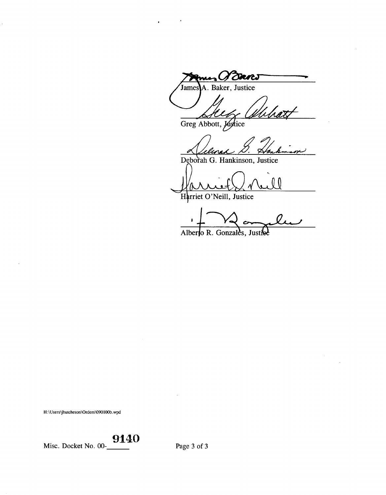(I Dans A. Baker, Justice James

Greg Abbott, Justice

Deborah G. Hankinson, Justice

 $\theta$ 

Harriet O'Neill, Justice

Alberto R. Gonzales, Justie

H:\Users\jhutcheson\Orders\090100b.wpd

 $\hat{\mathcal{C}}$ 

Misc. Docket No. 00- $\underbrace{9140}$ 

Page 3 of 3